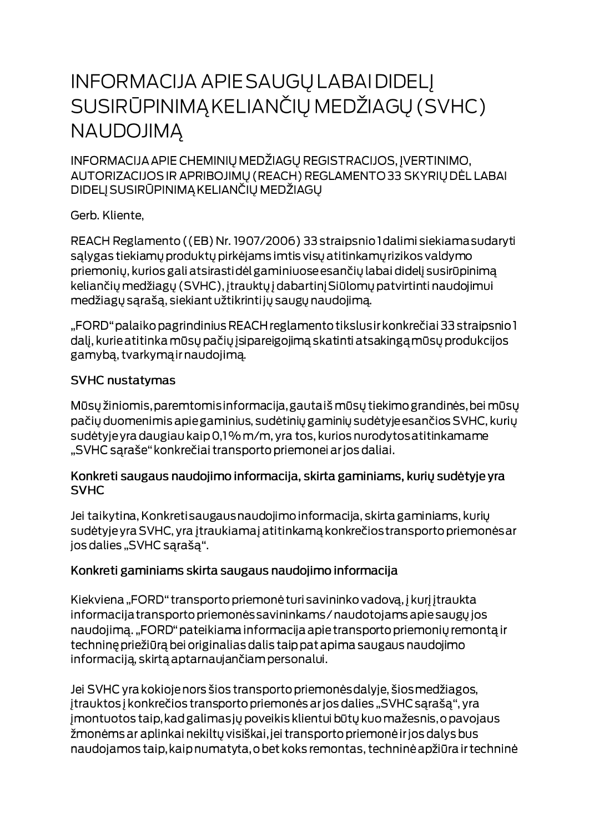# **INFORMACIJA APIE SAUGŲ LABAI DIDELĮ** SUSIRŪPINIMĄ KELIANČIŲ MEDŽIAGŲ (SVHC) **NAUDOJIMA**

INFORMACIJA APIE CHEMINIŲ MEDŽIAGŲ REGISTRACIJOS, ĮVERTINIMO, AUTORIZACIJOS IR APRIBOJIMŲ (REACH) REGLAMENTO 33 SKYRIŲ DĖL LABAI DIDELJ SUSIRŪPINIMĄ KELIANČIŲ MEDŽIAGŲ

Gerb. Kliente,

REACH Reglamento ((EB) Nr. 1907/2006) 33 straipsnio I dalimi siekiama sudaryti salygas tiekiamų produktų pirkėjams imtis visų atitinkamų rizikos valdymo priemonių, kurios gali atsirastidėl gaminiuose esančių labai didelį susirūpinimą keliančių medžiagų (SVHC), įtrauktų į dabartinį Siūlomų patvirtinti naudojimui medžiagų sąrašą, siekiant užtikrintijų saugų naudojimą.

"FORD" palaiko pagrindinius REACH reglamento tikslus ir konkrečiai 33 straipsnio 1 dalį, kurie atitinka mūsų pačių įsipareigojimą skatinti atsakingą mūsų produkcijos gamybą, tvarkymą ir naudojimą.

#### **SVHC nustatymas**

Mūsų žiniomis, paremtomis informacija, gautaiš mūsų tiekimo grandinės, bei mūsų pačių duomenimis apie gaminius, sudėtinių gaminių sudėtyje esančios SVHC, kurių sudėtyje yra daugiau kaip 0,1% m/m, yra tos, kurios nurodytos atitinkamame "SVHC sąraše" konkrečiai transporto priemonei ar jos daliai.

#### Konkreti saugaus naudojimo informacija, skirta gaminiams, kurių sudėtyje yra **SVHC**

Jei taikytina, Konkreti saugaus naudojimo informacija, skirta gaminiams, kurių sudėtyje yra SVHC, yra įtraukiamaj atitinkamą konkrečios transporto priemonės ar jos dalies "SVHC sąrašą".

### Konkreti gaminiams skirta saugaus naudojimo informacija

Kiekviena "FORD" transporto priemonė turi savininko vadovą, į kurį įtraukta informacija transporto priemonės savininkams / naudotojams apie saugų jos naudojimą. "FORD" pateikiama informacija apie transporto priemonių remontą ir techninę priežiūrą bei originalias dalis taip pat apima saugaus naudojimo informaciją, skirtą aptarnaujančiam personalui.

Jei SVHC yra kokioje nors šios transporto priemonės dalyje, šios medžiagos, įtrauktos į konkrečios transporto priemonės ar jos dalies "SVHC sąrašą", yra jmontuotos taip, kad galimas jų poveikis klientui būtų kuo mažesnis, o pavojaus žmonėms ar aplinkai nekiltų visiškai, jei transporto priemonė ir jos dalys bus naudojamos taip, kaip numatyta, o bet koks remontas, techninė apžiūra ir techninė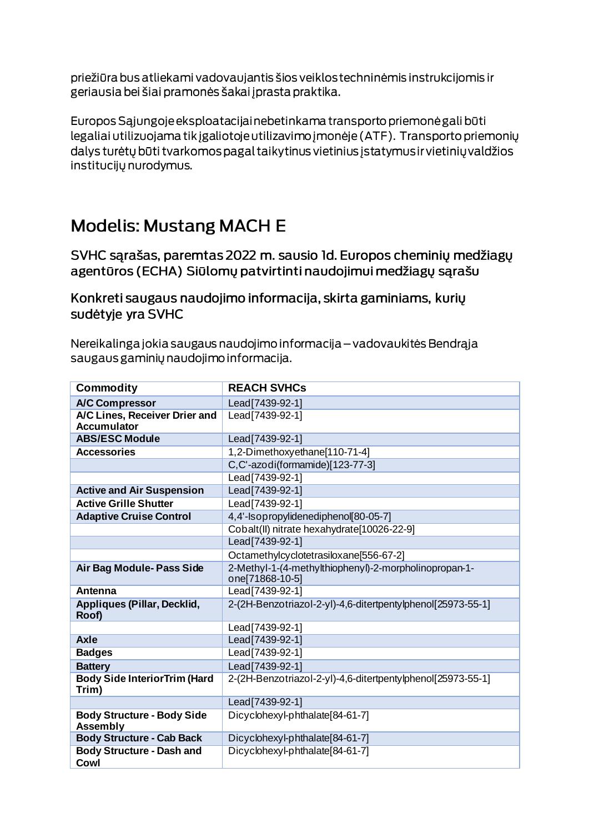priežiūra bus atliekami vadovaujantis šios veiklos techninėmis instrukcijomis ir geriausia bei šiai pramonės šakai į prasta praktika.

Europos Sąjungoje eksploatacijai nebetinkama transporto priemonė gali būti legaliai utilizuojama tik įgaliotoje utilizavimo įmonėje (ATF). Transporto priemonių dalys turėtų būti tvarkomos pagal taikytinus vietinius įstatymus ir vietinių valdžios institucijų nurodymus.

## **Modelis: Mustang MACH E**

SVHC sarašas, paremtas 2022 m. sausio Id. Europos cheminių medžiagų agentūros (ECHA) Siūlomų patvirtinti naudojimui medžiagų sąrašu

Konkreti saugaus naudojimo informacija, skirta gaminiams, kurių sudėtyje yra SVHC

Nereikalinga jokia saugaus naudojimo informacija – vadovaukitės Bendrąja saugaus gaminių naudojimo informacija.

| <b>Commodity</b>                                     | <b>REACH SVHCs</b>                                                       |
|------------------------------------------------------|--------------------------------------------------------------------------|
| <b>A/C Compressor</b>                                | Lead[7439-92-1]                                                          |
| A/C Lines, Receiver Drier and<br><b>Accumulator</b>  | Lead[7439-92-1]                                                          |
| <b>ABS/ESC Module</b>                                | Lead[7439-92-1]                                                          |
| <b>Accessories</b>                                   | 1,2-Dimethoxyethane[110-71-4]                                            |
|                                                      | C,C'-azodi(formamide)[123-77-3]                                          |
|                                                      | Lead [7439-92-1]                                                         |
| <b>Active and Air Suspension</b>                     | Lead[7439-92-1]                                                          |
| <b>Active Grille Shutter</b>                         | Lead[7439-92-1]                                                          |
| <b>Adaptive Cruise Control</b>                       | 4,4'-Isopropylidenediphenol[80-05-7]                                     |
|                                                      | Cobalt(II) nitrate hexahydrate[10026-22-9]                               |
|                                                      | Lead [7439-92-1]                                                         |
|                                                      | Octamethylcyclotetrasiloxane[556-67-2]                                   |
| Air Bag Module- Pass Side                            | 2-Methyl-1-(4-methylthiophenyl)-2-morpholinopropan-1-<br>one[71868-10-5] |
| <b>Antenna</b>                                       | Lead [7439-92-1]                                                         |
| Appliques (Pillar, Decklid,<br>Roof)                 | 2-(2H-Benzotriazol-2-yl)-4,6-ditertpentylphenol[25973-55-1]              |
|                                                      | Lead[7439-92-1]                                                          |
| <b>Axle</b>                                          | Lead [7439-92-1]                                                         |
| <b>Badges</b>                                        | Lead [7439-92-1]                                                         |
| <b>Battery</b>                                       | Lead[7439-92-1]                                                          |
| <b>Body Side InteriorTrim (Hard</b><br>Trim)         | 2-(2H-Benzotriazol-2-yl)-4,6-ditertpentylphenol[25973-55-1]              |
|                                                      | Lead [7439-92-1]                                                         |
| <b>Body Structure - Body Side</b><br><b>Assembly</b> | Dicyclohexyl-phthalate[84-61-7]                                          |
| <b>Body Structure - Cab Back</b>                     | Dicyclohexyl-phthalate[84-61-7]                                          |
| <b>Body Structure - Dash and</b><br>Cowl             | Dicyclohexyl-phthalate[84-61-7]                                          |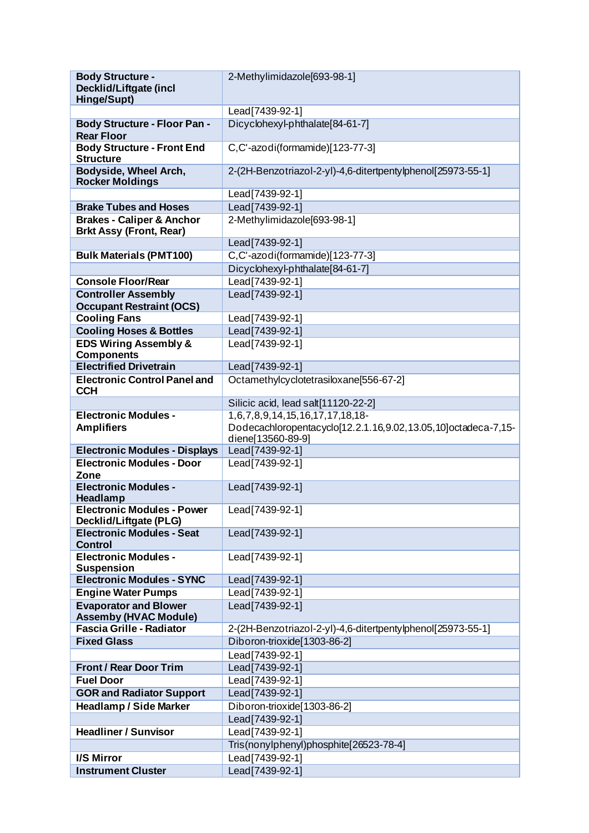| <b>Body Structure -</b>                               | 2-Methylimidazole[693-98-1]                                   |
|-------------------------------------------------------|---------------------------------------------------------------|
| <b>Decklid/Liftgate (incl</b>                         |                                                               |
| Hinge/Supt)                                           |                                                               |
|                                                       | Lead[7439-92-1]                                               |
| <b>Body Structure - Floor Pan -</b>                   | Dicyclohexyl-phthalate[84-61-7]                               |
| <b>Rear Floor</b>                                     |                                                               |
| <b>Body Structure - Front End</b><br><b>Structure</b> | C,C'-azodi(formamide)[123-77-3]                               |
| Bodyside, Wheel Arch,<br><b>Rocker Moldings</b>       | 2-(2H-Benzotriazol-2-yl)-4,6-ditertpentylphenol[25973-55-1]   |
|                                                       | Lead[7439-92-1]                                               |
| <b>Brake Tubes and Hoses</b>                          | Lead[7439-92-1]                                               |
| <b>Brakes - Caliper &amp; Anchor</b>                  | 2-Methylimidazole[693-98-1]                                   |
| <b>Brkt Assy (Front, Rear)</b>                        |                                                               |
|                                                       | Lead[7439-92-1]                                               |
| <b>Bulk Materials (PMT100)</b>                        | C,C'-azodi(formamide)[123-77-3]                               |
|                                                       | Dicyclohexyl-phthalate[84-61-7]                               |
| <b>Console Floor/Rear</b>                             | Lead[7439-92-1]                                               |
| <b>Controller Assembly</b>                            | Lead[7439-92-1]                                               |
| <b>Occupant Restraint (OCS)</b>                       |                                                               |
| <b>Cooling Fans</b>                                   | Lead[7439-92-1]                                               |
| <b>Cooling Hoses &amp; Bottles</b>                    | Lead[7439-92-1]                                               |
| <b>EDS Wiring Assembly &amp;</b>                      | Lead[7439-92-1]                                               |
| <b>Components</b>                                     |                                                               |
| <b>Electrified Drivetrain</b>                         | Lead[7439-92-1]                                               |
| <b>Electronic Control Panel and</b><br><b>CCH</b>     | Octamethylcyclotetrasiloxane[556-67-2]                        |
|                                                       | Silicic acid, lead salt[11120-22-2]                           |
| <b>Electronic Modules -</b>                           | 1,6,7,8,9,14,15,16,17,17,18,18-                               |
| <b>Amplifiers</b>                                     | Dodecachloropentacyclo[12.2.1.16,9.02,13.05,10]octadeca-7,15- |
|                                                       | diene[13560-89-9]                                             |
| <b>Electronic Modules - Displays</b>                  | Lead[7439-92-1]                                               |
| <b>Electronic Modules - Door</b>                      | Lead[7439-92-1]                                               |
| Zone                                                  |                                                               |
| <b>Electronic Modules -</b><br>Headlamp               | Lead[7439-92-1]                                               |
| <b>Electronic Modules - Power</b>                     | Lead[7439-92-1]                                               |
| Decklid/Liftgate (PLG)                                |                                                               |
| <b>Electronic Modules - Seat</b><br><b>Control</b>    | Lead[7439-92-1]                                               |
| <b>Electronic Modules -</b><br><b>Suspension</b>      | Lead[7439-92-1]                                               |
| <b>Electronic Modules - SYNC</b>                      | Lead[7439-92-1]                                               |
| <b>Engine Water Pumps</b>                             | Lead[7439-92-1]                                               |
| <b>Evaporator and Blower</b>                          | Lead[7439-92-1]                                               |
| <b>Assemby (HVAC Module)</b>                          |                                                               |
| <b>Fascia Grille - Radiator</b>                       | 2-(2H-Benzotriazol-2-yl)-4,6-ditertpentylphenol[25973-55-1]   |
| <b>Fixed Glass</b>                                    | Diboron-trioxide[1303-86-2]                                   |
|                                                       | Lead[7439-92-1]                                               |
| <b>Front / Rear Door Trim</b>                         | Lead[7439-92-1]                                               |
| <b>Fuel Door</b>                                      | Lead[7439-92-1]                                               |
| <b>GOR and Radiator Support</b>                       | Lead [7439-92-1]                                              |
| <b>Headlamp / Side Marker</b>                         | Diboron-trioxide[1303-86-2]                                   |
|                                                       | Lead[7439-92-1]                                               |
| <b>Headliner / Sunvisor</b>                           | Lead [7439-92-1]                                              |
|                                                       | Tris(nonylphenyl)phosphite[26523-78-4]                        |
|                                                       |                                                               |
| I/S Mirror                                            | Lead[7439-92-1]                                               |
| <b>Instrument Cluster</b>                             | Lead[7439-92-1]                                               |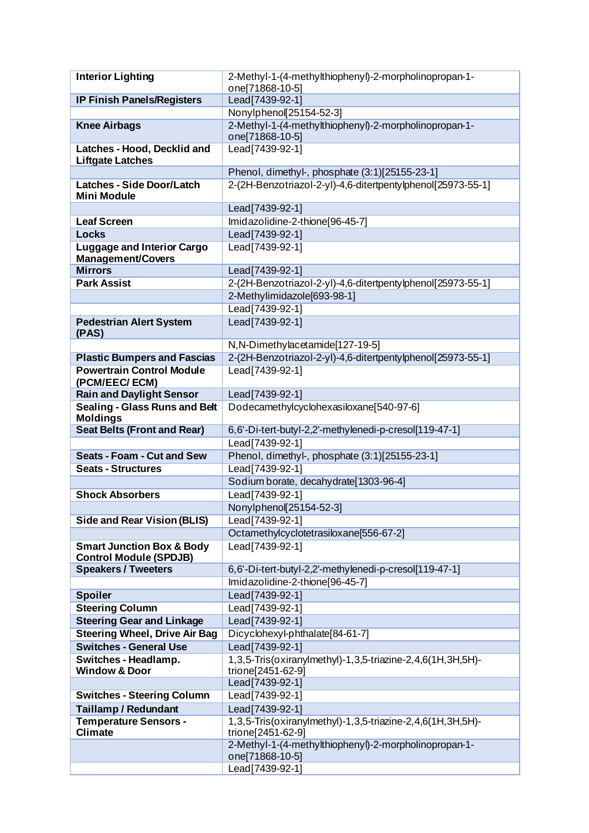| <b>Interior Lighting</b>                                | 2-Methyl-1-(4-methylthiophenyl)-2-morpholinopropan-1-       |
|---------------------------------------------------------|-------------------------------------------------------------|
|                                                         | one[71868-10-5]                                             |
| <b>IP Finish Panels/Registers</b>                       | Lead[7439-92-1]                                             |
|                                                         | Nonylphenol[25154-52-3]                                     |
| <b>Knee Airbags</b>                                     | 2-Methyl-1-(4-methylthiophenyl)-2-morpholinopropan-1-       |
|                                                         | one[71868-10-5]                                             |
| Latches - Hood, Decklid and                             | Lead[7439-92-1]                                             |
| <b>Liftgate Latches</b>                                 |                                                             |
|                                                         | Phenol, dimethyl-, phosphate (3:1)[25155-23-1]              |
| <b>Latches - Side Door/Latch</b><br><b>Mini Module</b>  | 2-(2H-Benzotriazol-2-yl)-4,6-ditertpentylphenol[25973-55-1] |
|                                                         | Lead[7439-92-1]                                             |
| <b>Leaf Screen</b>                                      | Imidazolidine-2-thione[96-45-7]                             |
| <b>Locks</b>                                            | Lead[7439-92-1]                                             |
| <b>Luggage and Interior Cargo</b>                       | Lead[7439-92-1]                                             |
| Management/Covers                                       |                                                             |
| <b>Mirrors</b>                                          | Lead[7439-92-1]                                             |
| <b>Park Assist</b>                                      | 2-(2H-Benzotriazol-2-yl)-4,6-ditertpentylphenol[25973-55-1] |
|                                                         | 2-Methylimidazole[693-98-1]                                 |
|                                                         | Lead[7439-92-1]                                             |
| <b>Pedestrian Alert System</b>                          | Lead[7439-92-1]                                             |
| (PAS)                                                   |                                                             |
|                                                         | N, N-Dimethylacetamide[127-19-5]                            |
| <b>Plastic Bumpers and Fascias</b>                      | 2-(2H-Benzotriazol-2-yl)-4,6-ditertpentylphenol[25973-55-1] |
| <b>Powertrain Control Module</b>                        | Lead[7439-92-1]                                             |
| (PCM/EEC/ECM)                                           |                                                             |
| <b>Rain and Daylight Sensor</b>                         | Lead[7439-92-1]                                             |
| <b>Sealing - Glass Runs and Belt</b><br><b>Moldings</b> | Dodecamethylcyclohexasiloxane[540-97-6]                     |
| <b>Seat Belts (Front and Rear)</b>                      | 6,6'-Di-tert-butyl-2,2'-methylenedi-p-cresol[119-47-1]      |
|                                                         | Lead[7439-92-1]                                             |
| <b>Seats - Foam - Cut and Sew</b>                       | Phenol, dimethyl-, phosphate (3:1)[25155-23-1]              |
| <b>Seats - Structures</b>                               | Lead [7439-92-1]                                            |
|                                                         | Sodium borate, decahydrate[1303-96-4]                       |
| <b>Shock Absorbers</b>                                  | Lead[7439-92-1]                                             |
|                                                         | Nonylphenol 25154-52-3]                                     |
| <b>Side and Rear Vision (BLIS)</b>                      | Lead[7439-92-1]                                             |
|                                                         | Octamethylcyclotetrasiloxane[556-67-2]                      |
| <b>Smart Junction Box &amp; Body</b>                    | Lead [7439-92-1]                                            |
| <b>Control Module (SPDJB)</b>                           |                                                             |
| <b>Speakers / Tweeters</b>                              | 6,6'-Di-tert-butyl-2,2'-methylenedi-p-cresol[119-47-1]      |
|                                                         | Imidazolidine-2-thione[96-45-7]                             |
| <b>Spoiler</b>                                          | Lead[7439-92-1]                                             |
| <b>Steering Column</b>                                  | Lead[7439-92-1]                                             |
| <b>Steering Gear and Linkage</b>                        | Lead[7439-92-1]                                             |
| <b>Steering Wheel, Drive Air Bag</b>                    | Dicyclohexyl-phthalate[84-61-7]                             |
| <b>Switches - General Use</b>                           | Lead[7439-92-1]                                             |
| Switches - Headlamp.                                    | 1,3,5-Tris(oxiranylmethyl)-1,3,5-triazine-2,4,6(1H,3H,5H)-  |
| <b>Window &amp; Door</b>                                | trione[2451-62-9]                                           |
|                                                         | Lead[7439-92-1]                                             |
| <b>Switches - Steering Column</b>                       | Lead[7439-92-1]                                             |
| <b>Taillamp / Redundant</b>                             | Lead[7439-92-1]                                             |
| <b>Temperature Sensors -</b>                            | 1,3,5-Tris(oxiranylmethyl)-1,3,5-triazine-2,4,6(1H,3H,5H)-  |
| <b>Climate</b>                                          | trione[2451-62-9]                                           |
|                                                         | 2-Methyl-1-(4-methylthiophenyl)-2-morpholinopropan-1-       |
|                                                         | one[71868-10-5]<br>Lead[7439-92-1]                          |
|                                                         |                                                             |